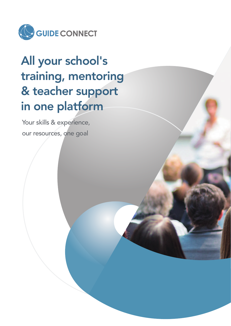

# All your school's training, mentoring & teacher support in one platform

Your skills & experience, our resources, one goal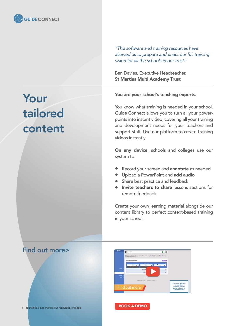

*"This software and training resources have allowed us to prepare and enact our full training vision for all the schools in our trust."*

Ben Davies, Executive Headteacher, St Martins Multi Academy Trust

# Your tailored content

#### You are your school's teaching experts.

You know what training is needed in your school. Guide Connect allows you to turn all your powerpoints into instant video, covering all your training and development needs for your teachers and support staff. Use our platform to create training videos instantly.

On any device, schools and colleges use our system to:

- Record your screen and annotate as needed
- **•** Upload a PowerPoint and **add audio**
- Share best practice and feedback
- **Invite teachers to share lessons sections for** remote feedback

Create your own learning material alongside our content library to perfect context-based training in your school.

### Find out more>



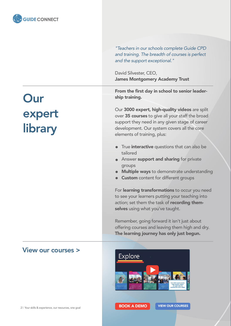

*"Teachers in our schools complete Guide CPD and training. The breadth of courses is perfect and the support exceptional."*

David Silvester, CEO, James Montgomery Academy Trust

From the first day in school to senior leadership training.

Our 3000 expert, high-quality videos are split over 35 courses to give all your staff the broad support they need in any given stage of career development. Our system covers all the core elements of training, plus:

- $\bullet$ True **interactive** questions that can also be tailored
- **Answer support and sharing for private** groups
- Multiple ways to demonstrate understanding
- **Custom** content for different groups

For learning transformations to occur you need to see your learners putting your teaching into action; set them the task of recording themselves using what you've taught.

Remember, going forward it isn't just about offering courses and leaving them high and dry. The learning journey has only just begun.



# **Our** expert library

### View our courses >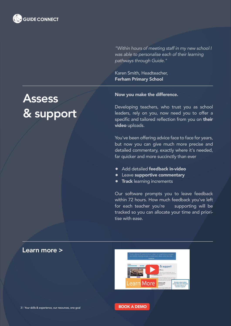

*"Within hours of meeting staff in my new school I was able to personalise each of their learning pathways through Guide."*

Karen Smith, Headteacher, Ferham Primary School

## **Assess** & support

#### Now you make the difference.

Developing teachers, who trust you as school leaders, rely on you, now need you to offer a specific and tailored reflection from you on their video uploads.

You've been offering advice face to face for years, but now you can give much more precise and detailed commentary, exactly where it's needed, far quicker and more succinctly than ever

- Add detailed **feedback in-video**
- **•** Leave supportive commentary
- **Track** learning increments

Our software prompts you to leave feedback within 72 hours. How much feedback you've left for each teacher you're supporting will be tracked so you can allocate your time and prioritise with ease.



### Learn more >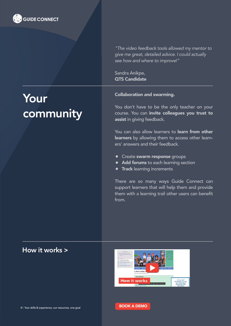

*"The video feedback tools allowed my mentor to give me great, detailed advice. I could actually see how and where to improve!"*

Sandra Anikpe, QTS Candidate

# Your community

#### Collaboration and swarming.

You don't have to be the only teacher on your course. You can invite colleagues you trust to assist in giving feedback.

You can also allow learners to **learn from other** learners by allowing them to access other learners' answers and their feedback.

- **Create swarm response groups**
- Add forums to each learning section
- **Track** learning increments  $\bullet$

There are so many ways Guide Connect can support learners that will help them and provide them with a learning trail other users can benefit from.

### How it works >



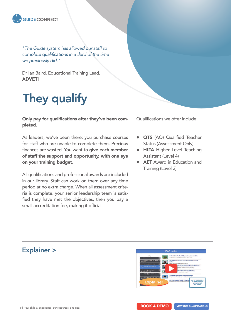

*"The Guide system has allowed our staff to complete qualifications in a third of the time we previously did."*

Dr Ian Baird, Educational Training Lead, ADVETI

## They qualify

Only pay for qualifications after they've been completed.

As leaders, we've been there; you purchase courses for staff who are unable to complete them. Precious finances are wasted. You want to give each member of staff the support and opportunity, with one eye on your training budget.

All qualifications and professional awards are included in our library. Staff can work on them over any time period at no extra charge. When all assessment criteria is complete, your senior leadership team is satisfied they have met the objectives, then you pay a small accreditation fee, making it official.

Qualifications we offer include:

- **QTS** (AO) Qualified Teacher Status (Assessment Only)
- **HLTA Higher Level Teaching** Assistant (Level 4)
- **AET** Award in Education and Training (Level 3)